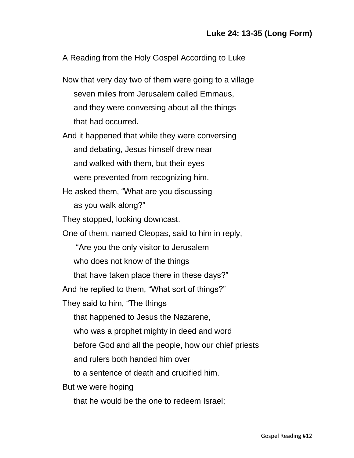A Reading from the Holy Gospel According to Luke

Now that very day two of them were going to a village seven miles from Jerusalem called Emmaus, and they were conversing about all the things that had occurred.

And it happened that while they were conversing and debating, Jesus himself drew near and walked with them, but their eyes were prevented from recognizing him.

He asked them, "What are you discussing as you walk along?"

They stopped, looking downcast.

One of them, named Cleopas, said to him in reply,

"Are you the only visitor to Jerusalem

who does not know of the things

that have taken place there in these days?"

And he replied to them, "What sort of things?"

They said to him, "The things

that happened to Jesus the Nazarene,

who was a prophet mighty in deed and word

before God and all the people, how our chief priests

and rulers both handed him over

to a sentence of death and crucified him.

But we were hoping

that he would be the one to redeem Israel;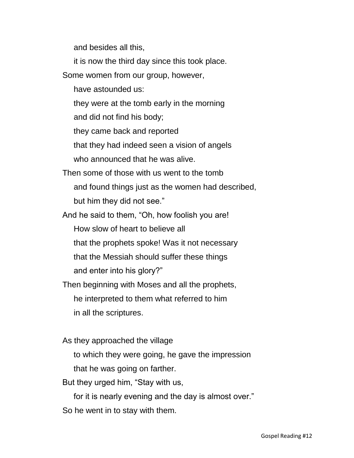and besides all this,

it is now the third day since this took place.

Some women from our group, however,

have astounded us:

they were at the tomb early in the morning

and did not find his body;

they came back and reported

that they had indeed seen a vision of angels

who announced that he was alive.

Then some of those with us went to the tomb and found things just as the women had described, but him they did not see."

And he said to them, "Oh, how foolish you are! How slow of heart to believe all that the prophets spoke! Was it not necessary that the Messiah should suffer these things and enter into his glory?"

Then beginning with Moses and all the prophets, he interpreted to them what referred to him in all the scriptures.

As they approached the village

to which they were going, he gave the impression

that he was going on farther.

But they urged him, "Stay with us,

for it is nearly evening and the day is almost over."

So he went in to stay with them.